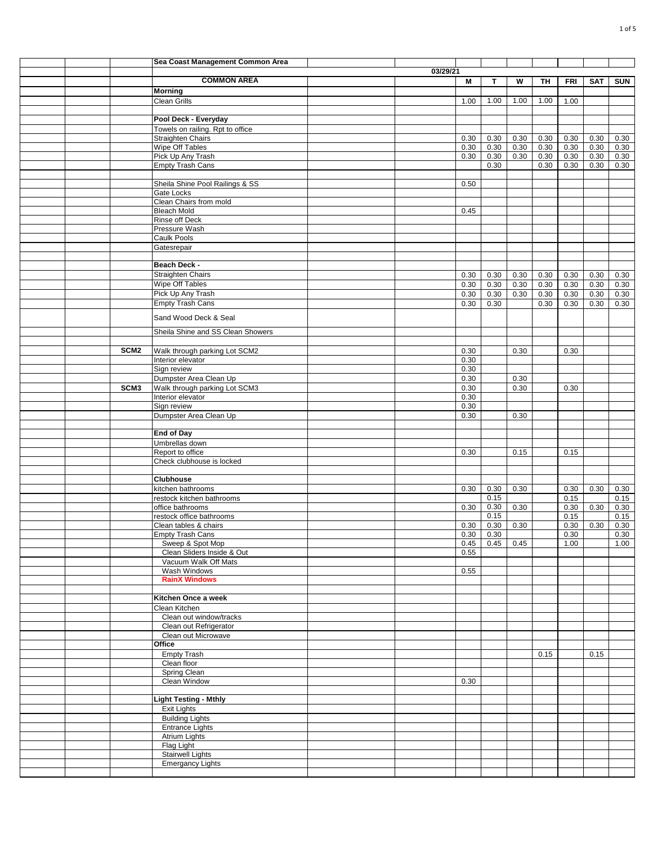|  |                  | Sea Coast Management Common Area               |          |              |               |              |              |              |              |              |
|--|------------------|------------------------------------------------|----------|--------------|---------------|--------------|--------------|--------------|--------------|--------------|
|  |                  |                                                | 03/29/21 |              |               |              |              |              |              |              |
|  |                  | <b>COMMON AREA</b>                             |          | M            | T             | W            | TН           | <b>FRI</b>   | <b>SAT</b>   | <b>SUN</b>   |
|  |                  | <b>Morning</b>                                 |          |              |               |              |              |              |              |              |
|  |                  | <b>Clean Grills</b>                            |          | 1.00         | 1.00          | 1.00         | 1.00         | 1.00         |              |              |
|  |                  | Pool Deck - Everyday                           |          |              |               |              |              |              |              |              |
|  |                  | Towels on railing. Rpt to office               |          |              |               |              |              |              |              |              |
|  |                  | <b>Straighten Chairs</b>                       |          | 0.30         | 0.30          | 0.30         | 0.30         | 0.30         | 0.30         | 0.30         |
|  |                  | Wipe Off Tables                                |          | 0.30         | 0.30          | 0.30         | 0.30         | 0.30         | 0.30         | 0.30         |
|  |                  | Pick Up Any Trash<br><b>Empty Trash Cans</b>   |          | 0.30         | 0.30<br>0.30  | 0.30         | 0.30<br>0.30 | 0.30<br>0.30 | 0.30<br>0.30 | 0.30<br>0.30 |
|  |                  |                                                |          |              |               |              |              |              |              |              |
|  |                  | Sheila Shine Pool Railings & SS                |          | 0.50         |               |              |              |              |              |              |
|  |                  | Gate Locks                                     |          |              |               |              |              |              |              |              |
|  |                  | Clean Chairs from mold                         |          |              |               |              |              |              |              |              |
|  |                  | <b>Bleach Mold</b>                             |          | 0.45         |               |              |              |              |              |              |
|  |                  | Rinse off Deck<br>Pressure Wash                |          |              |               |              |              |              |              |              |
|  |                  | Caulk Pools                                    |          |              |               |              |              |              |              |              |
|  |                  | Gatesrepair                                    |          |              |               |              |              |              |              |              |
|  |                  |                                                |          |              |               |              |              |              |              |              |
|  |                  | Beach Deck -                                   |          |              |               |              |              |              |              |              |
|  |                  | <b>Straighten Chairs</b>                       |          | 0.30         | 0.30          | 0.30         | 0.30         | 0.30         | 0.30         | 0.30         |
|  |                  | Wipe Off Tables<br>Pick Up Any Trash           |          | 0.30<br>0.30 | 0.30<br>0.30  | 0.30<br>0.30 | 0.30<br>0.30 | 0.30<br>0.30 | 0.30<br>0.30 | 0.30<br>0.30 |
|  |                  | <b>Empty Trash Cans</b>                        |          | 0.30         | 0.30          |              | 0.30         | 0.30         | 0.30         | 0.30         |
|  |                  |                                                |          |              |               |              |              |              |              |              |
|  |                  | Sand Wood Deck & Seal                          |          |              |               |              |              |              |              |              |
|  |                  | Sheila Shine and SS Clean Showers              |          |              |               |              |              |              |              |              |
|  |                  |                                                |          |              |               |              |              |              |              |              |
|  | SCM <sub>2</sub> | Walk through parking Lot SCM2                  |          | 0.30         |               | 0.30         |              | 0.30         |              |              |
|  |                  | Interior elevator<br>Sign review               |          | 0.30<br>0.30 |               |              |              |              |              |              |
|  |                  | Dumpster Area Clean Up                         |          | 0.30         |               | 0.30         |              |              |              |              |
|  | SCM3             | Walk through parking Lot SCM3                  |          | 0.30         |               | 0.30         |              | 0.30         |              |              |
|  |                  | Interior elevator                              |          | 0.30         |               |              |              |              |              |              |
|  |                  | Sign review                                    |          | 0.30         |               |              |              |              |              |              |
|  |                  | Dumpster Area Clean Up                         |          | 0.30         |               | 0.30         |              |              |              |              |
|  |                  | <b>End of Day</b>                              |          |              |               |              |              |              |              |              |
|  |                  | Umbrellas down                                 |          |              |               |              |              |              |              |              |
|  |                  | Report to office                               |          | 0.30         |               | 0.15         |              | 0.15         |              |              |
|  |                  | Check clubhouse is locked                      |          |              |               |              |              |              |              |              |
|  |                  |                                                |          |              |               |              |              |              |              |              |
|  |                  | <b>Clubhouse</b>                               |          |              |               |              |              |              |              |              |
|  |                  | kitchen bathrooms<br>restock kitchen bathrooms |          | 0.30         | 0.30<br>0.15  | 0.30         |              | 0.30<br>0.15 | 0.30         | 0.30<br>0.15 |
|  |                  | office bathrooms                               |          | 0.30         | 0.30          | 0.30         |              | 0.30         | 0.30         | 0.30         |
|  |                  | restock office bathrooms                       |          |              | 0.15          |              |              | 0.15         |              | 0.15         |
|  |                  | Clean tables & chairs                          |          | 0.30         | 0.30          | 0.30         |              | 0.30         | 0.30         | 0.30         |
|  |                  | Empty Trash Cans                               |          |              | $0.30 \ 0.30$ |              |              | 0.30         |              | 0.30         |
|  |                  | Sweep & Spot Mop<br>Clean Sliders Inside & Out |          | 0.55         | $0.45$ 0.45   | 0.45         |              | 1.00         |              | 1.00         |
|  |                  | Vacuum Walk Off Mats                           |          |              |               |              |              |              |              |              |
|  |                  | Wash Windows                                   |          | 0.55         |               |              |              |              |              |              |
|  |                  | <b>RainX Windows</b>                           |          |              |               |              |              |              |              |              |
|  |                  |                                                |          |              |               |              |              |              |              |              |
|  |                  | Kitchen Once a week                            |          |              |               |              |              |              |              |              |
|  |                  | Clean Kitchen<br>Clean out window/tracks       |          |              |               |              |              |              |              |              |
|  |                  | Clean out Refrigerator                         |          |              |               |              |              |              |              |              |
|  |                  | Clean out Microwave                            |          |              |               |              |              |              |              |              |
|  |                  | Office                                         |          |              |               |              |              |              |              |              |
|  |                  | <b>Empty Trash</b>                             |          |              |               |              | 0.15         |              | 0.15         |              |
|  |                  | Clean floor                                    |          |              |               |              |              |              |              |              |
|  |                  | Spring Clean<br>Clean Window                   |          | 0.30         |               |              |              |              |              |              |
|  |                  |                                                |          |              |               |              |              |              |              |              |
|  |                  | <b>Light Testing - Mthly</b>                   |          |              |               |              |              |              |              |              |
|  |                  | <b>Exit Lights</b>                             |          |              |               |              |              |              |              |              |
|  |                  | <b>Building Lights</b>                         |          |              |               |              |              |              |              |              |
|  |                  | <b>Entrance Lights</b><br>Atrium Lights        |          |              |               |              |              |              |              |              |
|  |                  | Flag Light                                     |          |              |               |              |              |              |              |              |
|  |                  | <b>Stairwell Lights</b>                        |          |              |               |              |              |              |              |              |
|  |                  | <b>Emergancy Lights</b>                        |          |              |               |              |              |              |              |              |
|  |                  |                                                |          |              |               |              |              |              |              |              |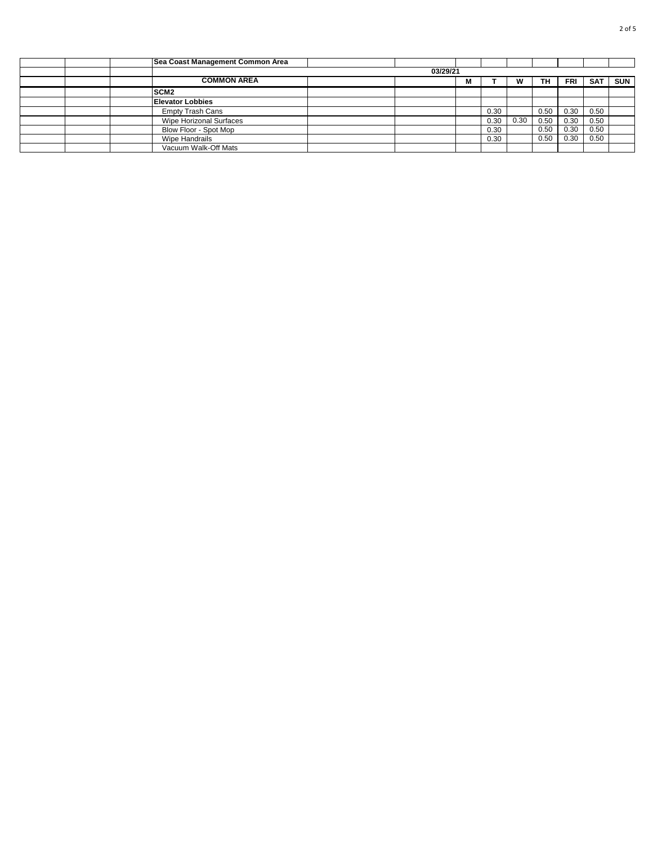|  | Sea Coast Management Common Area |          |   |      |      |      |      |            |            |
|--|----------------------------------|----------|---|------|------|------|------|------------|------------|
|  |                                  | 03/29/21 |   |      |      |      |      |            |            |
|  | <b>COMMON AREA</b>               |          | М |      | w    | ΤН   | FRI  | <b>SAT</b> | <b>SUN</b> |
|  | SCM <sub>2</sub>                 |          |   |      |      |      |      |            |            |
|  | <b>Elevator Lobbies</b>          |          |   |      |      |      |      |            |            |
|  | <b>Empty Trash Cans</b>          |          |   | 0.30 |      | 0.50 | 0.30 | 0.50       |            |
|  | Wipe Horizonal Surfaces          |          |   | 0.30 | 0.30 | 0.50 | 0.30 | 0.50       |            |
|  | Blow Floor - Spot Mop            |          |   | 0.30 |      | 0.50 | 0.30 | 0.50       |            |
|  | Wipe Handrails                   |          |   | 0.30 |      | 0.50 | 0.30 | 0.50       |            |
|  | Vacuum Walk-Off Mats             |          |   |      |      |      |      |            |            |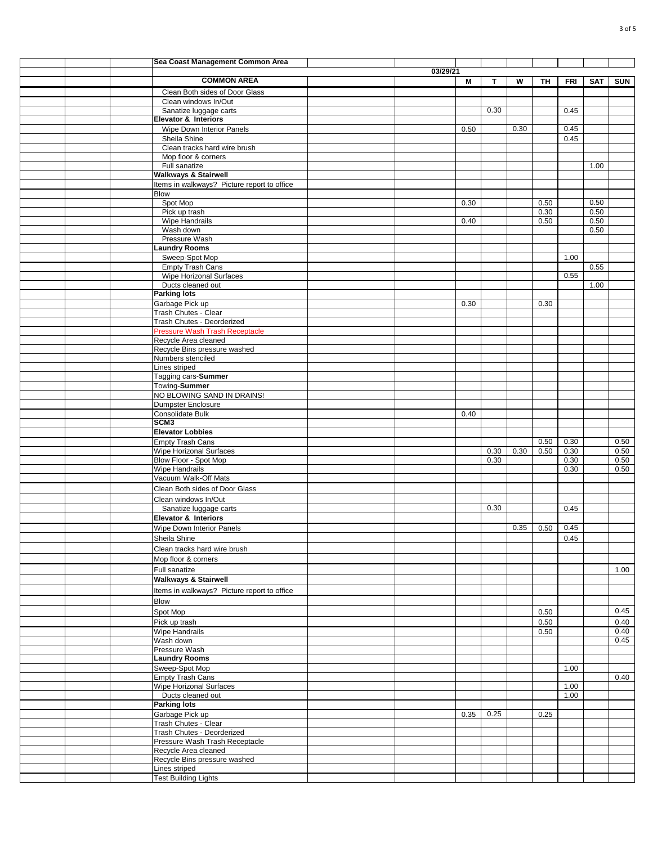|  | Sea Coast Management Common Area                          |          |      |      |      |      |      |            |            |
|--|-----------------------------------------------------------|----------|------|------|------|------|------|------------|------------|
|  |                                                           | 03/29/21 |      |      |      |      |      |            |            |
|  | <b>COMMON AREA</b>                                        |          | M    | Т    | W    | TH   | FRI  | <b>SAT</b> | <b>SUN</b> |
|  | Clean Both sides of Door Glass                            |          |      |      |      |      |      |            |            |
|  | Clean windows In/Out                                      |          |      |      |      |      |      |            |            |
|  | Sanatize luggage carts                                    |          |      | 0.30 |      |      | 0.45 |            |            |
|  | <b>Elevator &amp; Interiors</b>                           |          |      |      |      |      |      |            |            |
|  | Wipe Down Interior Panels                                 |          | 0.50 |      | 0.30 |      | 0.45 |            |            |
|  | Sheila Shine                                              |          |      |      |      |      | 0.45 |            |            |
|  | Clean tracks hard wire brush<br>Mop floor & corners       |          |      |      |      |      |      |            |            |
|  | Full sanatize                                             |          |      |      |      |      |      | 1.00       |            |
|  | <b>Walkways &amp; Stairwell</b>                           |          |      |      |      |      |      |            |            |
|  | Items in walkways? Picture report to office               |          |      |      |      |      |      |            |            |
|  | <b>Blow</b>                                               |          |      |      |      |      |      |            |            |
|  | Spot Mop                                                  |          | 0.30 |      |      | 0.50 |      | 0.50       |            |
|  | Pick up trash                                             |          |      |      |      | 0.30 |      | 0.50       |            |
|  | Wipe Handrails                                            |          | 0.40 |      |      | 0.50 |      | 0.50       |            |
|  | Wash down                                                 |          |      |      |      |      |      | 0.50       |            |
|  | Pressure Wash<br><b>Laundry Rooms</b>                     |          |      |      |      |      |      |            |            |
|  | Sweep-Spot Mop                                            |          |      |      |      |      | 1.00 |            |            |
|  | <b>Empty Trash Cans</b>                                   |          |      |      |      |      |      | 0.55       |            |
|  | Wipe Horizonal Surfaces                                   |          |      |      |      |      | 0.55 |            |            |
|  | Ducts cleaned out                                         |          |      |      |      |      |      | 1.00       |            |
|  | <b>Parking lots</b>                                       |          |      |      |      |      |      |            |            |
|  | Garbage Pick up                                           |          | 0.30 |      |      | 0.30 |      |            |            |
|  | Trash Chutes - Clear                                      |          |      |      |      |      |      |            |            |
|  | Trash Chutes - Deorderized                                |          |      |      |      |      |      |            |            |
|  | <b>Pressure Wash Trash Receptacle</b>                     |          |      |      |      |      |      |            |            |
|  | Recycle Area cleaned                                      |          |      |      |      |      |      |            |            |
|  | Recycle Bins pressure washed                              |          |      |      |      |      |      |            |            |
|  | Numbers stenciled<br>Lines striped                        |          |      |      |      |      |      |            |            |
|  | Tagging cars-Summer                                       |          |      |      |      |      |      |            |            |
|  | Towing-Summer                                             |          |      |      |      |      |      |            |            |
|  | NO BLOWING SAND IN DRAINS!                                |          |      |      |      |      |      |            |            |
|  | Dumpster Enclosure                                        |          |      |      |      |      |      |            |            |
|  | <b>Consolidate Bulk</b>                                   |          | 0.40 |      |      |      |      |            |            |
|  | SCM3                                                      |          |      |      |      |      |      |            |            |
|  | <b>Elevator Lobbies</b>                                   |          |      |      |      |      |      |            |            |
|  | <b>Empty Trash Cans</b>                                   |          |      |      |      | 0.50 | 0.30 |            | 0.50       |
|  | Wipe Horizonal Surfaces                                   |          |      | 0.30 | 0.30 | 0.50 | 0.30 |            | 0.50       |
|  | Blow Floor - Spot Mop                                     |          |      | 0.30 |      |      | 0.30 |            | 0.50       |
|  | Wipe Handrails                                            |          |      |      |      |      | 0.30 |            | 0.50       |
|  | Vacuum Walk-Off Mats                                      |          |      |      |      |      |      |            |            |
|  | Clean Both sides of Door Glass                            |          |      |      |      |      |      |            |            |
|  | Clean windows In/Out                                      |          |      |      |      |      |      |            |            |
|  | Sanatize luggage carts                                    |          |      | 0.30 |      |      | 0.45 |            |            |
|  | <b>Elevator &amp; Interiors</b>                           |          |      |      |      |      |      |            |            |
|  | Wipe Down Interior Panels                                 |          |      |      | 0.35 | 0.50 | 0.45 |            |            |
|  | Sheila Shine                                              |          |      |      |      |      | 0.45 |            |            |
|  | Clean tracks hard wire brush                              |          |      |      |      |      |      |            |            |
|  | Mop floor & corners                                       |          |      |      |      |      |      |            |            |
|  | Full sanatize                                             |          |      |      |      |      |      |            | 1.00       |
|  | <b>Walkways &amp; Stairwell</b>                           |          |      |      |      |      |      |            |            |
|  | Items in walkways? Picture report to office               |          |      |      |      |      |      |            |            |
|  | Blow                                                      |          |      |      |      |      |      |            |            |
|  | Spot Mop                                                  |          |      |      |      | 0.50 |      |            | 0.45       |
|  | Pick up trash                                             |          |      |      |      | 0.50 |      |            | 0.40       |
|  | <b>Wipe Handrails</b>                                     |          |      |      |      | 0.50 |      |            | 0.40       |
|  | Wash down                                                 |          |      |      |      |      |      |            | 0.45       |
|  | Pressure Wash                                             |          |      |      |      |      |      |            |            |
|  | <b>Laundry Rooms</b>                                      |          |      |      |      |      |      |            |            |
|  | Sweep-Spot Mop                                            |          |      |      |      |      | 1.00 |            |            |
|  | <b>Empty Trash Cans</b><br><b>Wipe Horizonal Surfaces</b> |          |      |      |      |      | 1.00 |            | 0.40       |
|  | Ducts cleaned out                                         |          |      |      |      |      | 1.00 |            |            |
|  | <b>Parking lots</b>                                       |          |      |      |      |      |      |            |            |
|  | Garbage Pick up                                           |          | 0.35 | 0.25 |      | 0.25 |      |            |            |
|  | Trash Chutes - Clear                                      |          |      |      |      |      |      |            |            |
|  | Trash Chutes - Deorderized                                |          |      |      |      |      |      |            |            |
|  | Pressure Wash Trash Receptacle                            |          |      |      |      |      |      |            |            |
|  | Recycle Area cleaned                                      |          |      |      |      |      |      |            |            |
|  | Recycle Bins pressure washed                              |          |      |      |      |      |      |            |            |
|  | Lines striped                                             |          |      |      |      |      |      |            |            |
|  | <b>Test Building Lights</b>                               |          |      |      |      |      |      |            |            |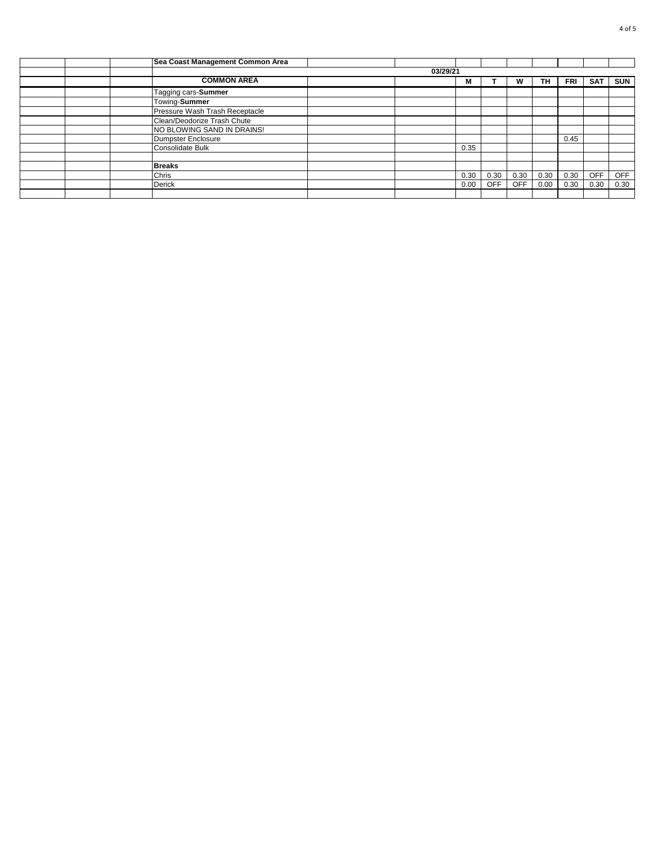|  | Sea Coast Management Common Area |          |      |            |            |      |      |            |            |
|--|----------------------------------|----------|------|------------|------------|------|------|------------|------------|
|  |                                  | 03/29/21 |      |            |            |      |      |            |            |
|  | <b>COMMON AREA</b>               |          | M    |            | W          | TH.  | FRI  | <b>SAT</b> | <b>SUN</b> |
|  | Tagging cars-Summer              |          |      |            |            |      |      |            |            |
|  | Towing-Summer                    |          |      |            |            |      |      |            |            |
|  | Pressure Wash Trash Receptacle   |          |      |            |            |      |      |            |            |
|  | Clean/Deodorize Trash Chute      |          |      |            |            |      |      |            |            |
|  | NO BLOWING SAND IN DRAINS!       |          |      |            |            |      |      |            |            |
|  | Dumpster Enclosure               |          |      |            |            |      | 0.45 |            |            |
|  | Consolidate Bulk                 |          | 0.35 |            |            |      |      |            |            |
|  |                                  |          |      |            |            |      |      |            |            |
|  | <b>Breaks</b>                    |          |      |            |            |      |      |            |            |
|  | Chris                            |          | 0.30 | 0.30       | 0.30       | 0.30 | 0.30 | <b>OFF</b> | <b>OFF</b> |
|  | Derick                           |          | 0.00 | <b>OFF</b> | <b>OFF</b> | 0.00 | 0.30 | 0.30       | 0.30       |
|  |                                  |          |      |            |            |      |      |            |            |
|  |                                  |          |      |            |            |      |      |            |            |